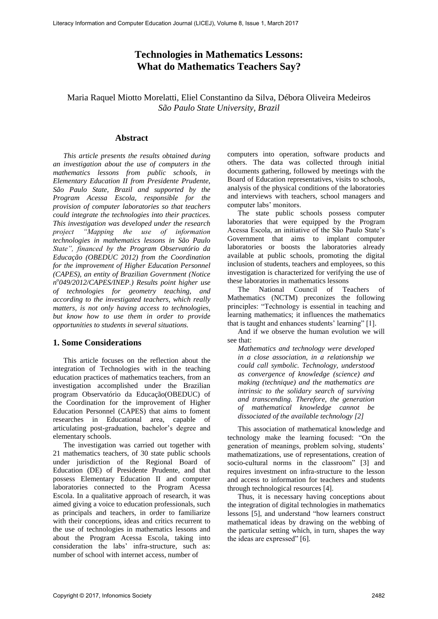# **Technologies in Mathematics Lessons: What do Mathematics Teachers Say?**

Maria Raquel Miotto Morelatti, Eliel Constantino da Silva, Débora Oliveira Medeiros *São Paulo State University, Brazil* 

#### **Abstract**

*This article presents the results obtained during an investigation about the use of computers in the mathematics lessons from public schools, in Elementary Education II from Presidente Prudente, São Paulo State, Brazil and supported by the Program Acessa Escola, responsible for the provision of computer laboratories so that teachers could integrate the technologies into their practices. This investigation was developed under the research project "Mapping the use of information technologies in mathematics lessons in São Paulo State", financed by the Program Observatório da Educação (OBEDUC 2012) from the Coordination for the improvement of Higher Education Personnel (CAPES), an entity of Brazilian Government (Notice n o 049/2012/CAPES/INEP.) Results point higher use of technologies for geometry teaching, and according to the investigated teachers, which really matters, is not only having access to technologies, but know how to use them in order to provide opportunities to students in several situations.*

## **1. Some Considerations**

This article focuses on the reflection about the integration of Technologies with in the teaching education practices of mathematics teachers, from an investigation accomplished under the Brazilian program Observatório da Educação(OBEDUC) of the Coordination for the improvement of Higher Education Personnel (CAPES) that aims to foment researches in Educational area, capable of articulating post-graduation, bachelor's degree and elementary schools.

The investigation was carried out together with 21 mathematics teachers, of 30 state public schools under jurisdiction of the Regional Board of Education (DE) of Presidente Prudente, and that possess Elementary Education II and computer laboratories connected to the Program Acessa Escola. In a qualitative approach of research, it was aimed giving a voice to education professionals, such as principals and teachers, in order to familiarize with their conceptions, ideas and critics recurrent to the use of technologies in mathematics lessons and about the Program Acessa Escola, taking into consideration the labs' infra-structure, such as: number of school with internet access, number of

computers into operation, software products and others. The data was collected through initial documents gathering, followed by meetings with the Board of Education representatives, visits to schools, analysis of the physical conditions of the laboratories and interviews with teachers, school managers and computer labs' monitors.

The state public schools possess computer laboratories that were equipped by the Program Acessa Escola, an initiative of the São Paulo State's Government that aims to implant computer laboratories or boosts the laboratories already available at public schools, promoting the digital inclusion of students, teachers and employees, so this investigation is characterized for verifying the use of these laboratories in mathematics lessons

The National Council of Teachers of Mathematics (NCTM) preconizes the following principles: "Technology is essential in teaching and learning mathematics; it influences the mathematics that is taught and enhances students' learning" [1].

And if we observe the human evolution we will see that:

*Mathematics and technology were developed in a close association, in a relationship we could call symbolic. Technology, understood as convergence of knowledge (science) and making (technique) and the mathematics are intrinsic to the solidary search of surviving and transcending. Therefore, the generation of mathematical knowledge cannot be dissociated of the available technology [2]* 

This association of mathematical knowledge and technology make the learning focused: "On the generation of meanings, problem solving, students' mathematizations, use of representations, creation of socio-cultural norms in the classroom" [3] and requires investment on infra-structure to the lesson and access to information for teachers and students through technological resources [4].

Thus, it is necessary having conceptions about the integration of digital technologies in mathematics lessons [5], and understand "how learners construct mathematical ideas by drawing on the webbing of the particular setting which, in turn, shapes the way the ideas are expressed" [6].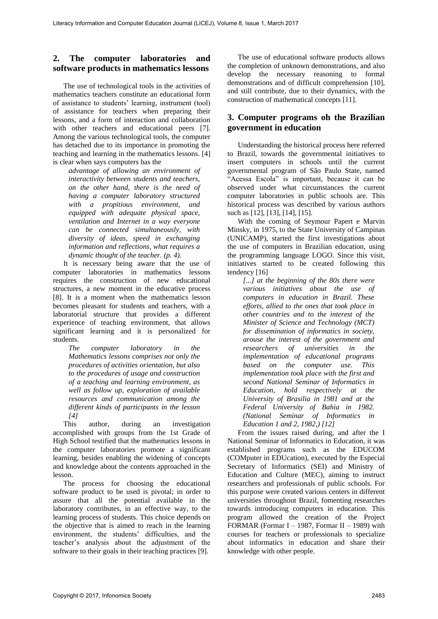## **2. The computer laboratories and software products in mathematics lessons**

The use of technological tools in the activities of mathematics teachers constitute an educational form of assistance to students' learning, instrument (tool) of assistance for teachers when preparing their lessons, and a form of interaction and collaboration with other teachers and educational peers [7]. Among the various technological tools, the computer has detached due to its importance in promoting the teaching and learning in the mathematics lessons. [4] is clear when says computers has the

*advantage of allowing an environment of interactivity between students and teachers, on the other hand, there is the need of having a computer laboratory structured with a propitious environment, and equipped with adequate physical space, ventilation and Internet in a way everyone can be connected simultaneously, with diversity of ideas, speed in exchanging information and reflections, what requires a dynamic thought of the teacher. (p. 4).* 

It is necessary being aware that the use of computer laboratories in mathematics lessons requires the construction of new educational structures, a new moment in the educative process [8]. It is a moment when the mathematics lesson becomes pleasant for students and teachers, with a laboratorial structure that provides a different experience of teaching environment, that allows significant learning and it is personalized for students.

*The computer laboratory in the Mathematics lessons comprises not only the procedures of activities orientation, but also to the procedures of usage and construction of a teaching and learning environment, as well as follow up, exploration of available resources and communication among the different kinds of participants in the lesson [4]* 

This author, during an investigation accomplished with groups from the 1st Grade of High School testified that the mathematics lessons in the computer laboratories promote a significant learning, besides enabling the widening of concepts and knowledge about the contents approached in the lesson.

The process for choosing the educational software product to be used is pivotal; in order to assure that all the potential available in the laboratory contributes, in an effective way, to the learning process of students. This choice depends on the objective that is aimed to reach in the learning environment, the students' difficulties, and the teacher's analysis about the adjustment of the software to their goals in their teaching practices [9].

The use of educational software products allows the completion of unknown demonstrations, and also develop the necessary reasoning to formal demonstrations and of difficult comprehension [10], and still contribute, due to their dynamics, with the construction of mathematical concepts [11].

## **3. Computer programs oh the Brazilian government in education**

Understanding the historical process here referred to Brazil, towards the governmental initiatives to insert computers in schools until the current governmental program of São Paulo State, named "Acessa Escola" is important, because it can be observed under what circumstances the current computer laboratories in public schools are. This historical process was described by various authors such as [12], [13], [14], [15].

With the coming of Seymour Papert e Marvin Minsky, in 1975, to the State University of Campinas (UNICAMP), started the first investigations about the use of computers in Brazilian education, using the programming language LOGO. Since this visit, initiatives started to be created following this tendency [16]

*[...] at the beginning of the 80s there were various initiatives about the use of computers in education in Brazil. These efforts, allied to the ones that took place in other countries and to the interest of the Minister of Science and Technology (MCT) for dissemination of informatics in society, arouse the interest of the government and researchers of universities in the implementation of educational programs based on the computer use. This implementation took place with the first and second National Seminar of Informatics in Education, hold respectively at the University of Brasilia in 1981 and at the Federal University of Bahia in 1982. (National Seminar of Informatics in Education 1 and 2, 1982,) [12]* 

From the issues raised during, and after the I National Seminar of Informatics in Education, it was established programs such as the EDUCOM (COMputer in EDUcation), executed by the Especial Secretary of Informatics (SEI) and Ministry of Education and Culture (MEC), aiming to instruct researchers and professionals of public schools. For this purpose were created various centers in different universities throughout Brazil, fomenting researches towards introducing computers in education. This program allowed the creation of the Project FORMAR (Formar I – 1987, Formar II – 1989) with courses for teachers or professionals to specialize about informatics in education and share their knowledge with other people.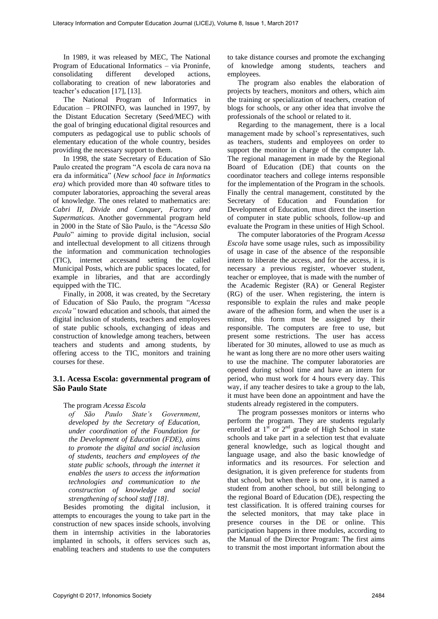In 1989, it was released by MEC, The National Program of Educational Informatics – via Proninfe, consolidating different developed actions, collaborating to creation of new laboratories and teacher's education [17], [13].

The National Program of Informatics in Education – PROINFO, was launched in 1997, by the Distant Education Secretary (Seed/MEC) with the goal of bringing educational digital resources and computers as pedagogical use to public schools of elementary education of the whole country, besides providing the necessary support to them.

In 1998, the state Secretary of Education of São Paulo created the program "A escola de cara nova na era da informática" (*New school face in Informatics era)* which provided more than 40 software titles to computer laboratories, approaching the several areas of knowledge. The ones related to mathematics are: *Cabri II, Divide and Conquer, Factory and Supermaticas.* Another governmental program held in 2000 in the State of São Paulo, is the "*Acessa São Paulo*" aiming to provide digital inclusion, social and intellectual development to all citizens through the information and communication technologies (TIC), internet accessand setting the called Municipal Posts, which are public spaces located, for example in libraries, and that are accordingly equipped with the TIC.

Finally, in 2008, it was created, by the Secretary of Education of São Paulo, the program "*Acessa escola"* toward education and schools, that aimed the digital inclusion of students, teachers and employees of state public schools, exchanging of ideas and construction of knowledge among teachers, between teachers and students and among students, by offering access to the TIC, monitors and training courses for these.

### **3.1. Acessa Escola: governmental program of São Paulo State**

#### The program *Acessa Escola*

*of São Paulo State's Government, developed by the Secretary of Education, under coordination of the Foundation for the Development of Education (FDE), aims to promote the digital and social inclusion of students, teachers and employees of the state public schools, through the internet it enables the users to access the information technologies and communication to the construction of knowledge and social strengthening of school staff [18].* 

Besides promoting the digital inclusion, it attempts to encourages the young to take part in the construction of new spaces inside schools, involving them in internship activities in the laboratories implanted in schools, it offers services such as, enabling teachers and students to use the computers

to take distance courses and promote the exchanging of knowledge among students, teachers and employees.

The program also enables the elaboration of projects by teachers, monitors and others, which aim the training or specialization of teachers, creation of blogs for schools, or any other idea that involve the professionals of the school or related to it.

Regarding to the management, there is a local management made by school's representatives, such as teachers, students and employees on order to support the monitor in charge of the computer lab. The regional management in made by the Regional Board of Education (DE) that counts on the coordinator teachers and college interns responsible for the implementation of the Program in the schools. Finally the central management, constituted by the Secretary of Education and Foundation for Development of Education, must direct the insertion of computer in state public schools, follow-up and evaluate the Program in these unities of High School.

The computer laboratories of the Program *Acessa Escola* have some usage rules, such as impossibility of usage in case of the absence of the responsible intern to liberate the access, and for the access, it is necessary a previous register, whoever student, teacher or employee, that is made with the number of the Academic Register (RA) or General Register (RG) of the user. When registering, the intern is responsible to explain the rules and make people aware of the adhesion form, and when the user is a minor, this form must be assigned by their responsible. The computers are free to use, but present some restrictions. The user has access liberated for 30 minutes, allowed to use as much as he want as long there are no more other users waiting to use the machine. The computer laboratories are opened during school time and have an intern for period, who must work for 4 hours every day. This way, if any teacher desires to take a group to the lab, it must have been done an appointment and have the students already registered in the computers.

The program possesses monitors or interns who perform the program. They are students regularly enrolled at  $1<sup>st</sup>$  or  $2<sup>nd</sup>$  grade of High School in state schools and take part in a selection test that evaluate general knowledge, such as logical thought and language usage, and also the basic knowledge of informatics and its resources. For selection and designation, it is given preference for students from that school, but when there is no one, it is named a student from another school, but still belonging to the regional Board of Education (DE), respecting the test classification. It is offered training courses for the selected monitors, that may take place in presence courses in the DE or online. This participation happens in three modules, according to the Manual of the Director Program: The first aims to transmit the most important information about the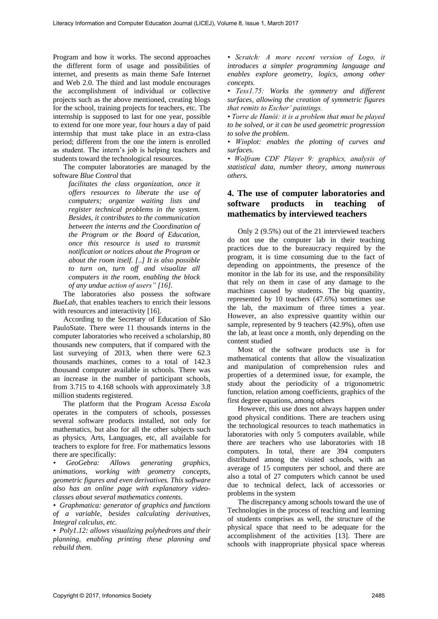Program and how it works. The second approaches the different form of usage and possibilities of internet, and presents as main theme Safe Internet and Web 2.0. The third and last module encourages the accomplishment of individual or collective projects such as the above mentioned, creating blogs for the school, training projects for teachers, etc. The internship is supposed to last for one year, possible to extend for one more year, four hours a day of paid internship that must take place in an extra-class period; different from the one the intern is enrolled as student. The intern's job is helping teachers and students toward the technological resources.

The computer laboratories are managed by the software *Blue Control* that

*facilitates the class organization, once it offers resources to liberate the use of computers; organize waiting lists and register technical problems in the system. Besides, it contributes to the communication between the interns and the Coordination of the Program or the Board of Education, once this resource is used to transmit notification or notices about the Program or about the room itself. [..] It is also possible to turn on, turn off and visualize all computers in the room, enabling the block of any undue action of users" [16].* 

The laboratories also possess the software *BueLab*, that enables teachers to enrich their lessons with resources and interactivity [16].

According to the Secretary of Education of São PauloState. There were 11 thousands interns in the computer laboratories who received a scholarship, 80 thousands new computers, that if compared with the last surveying of 2013, when there were 62.3 thousands machines, comes to a total of 142.3 thousand computer available in schools. There was an increase in the number of participant schools, from 3.715 to 4.168 schools with approximately 3.8 million students registered.

The platform that the Program A*cessa Escola*  operates in the computers of schools, possesses several software products installed, not only for mathematics, but also for all the other subjects such as physics, Arts, Languages, etc, all available for teachers to explore for free. For mathematics lessons there are specifically:

*• GeoGebra: Allows generating graphics, animations, working with geometry concepts, geometric figures and even derivatives. This software also has an online page with explanatory videoclasses about several mathematics contents.* 

*• Graphmatica: generator of graphics and functions of a variable, besides calculating derivatives, Integral calculus, etc.* 

*• Poly1.12: allows visualizing polyhedrons and their planning, enabling printing these planning and rebuild them.* 

*• Scratch: A more recent version of Logo, it introduces a simpler programming language and enables explore geometry, logics, among other concepts.* 

*• Tess1.75: Works the symmetry and different surfaces, allowing the creation of symmetric figures that remits to Escher' paintings.*

*• Torre de Hanói: it is a problem that must be played to be solved, or it can be used geometric progression to solve the problem.* 

*• Winplot: enables the plotting of curves and surfaces.* 

*• Wolfram CDF Player 9: graphics, analysis of statistical data, number theory, among numerous others.* 

## **4. The use of computer laboratories and software products in teaching of mathematics by interviewed teachers**

Only 2 (9.5%) out of the 21 interviewed teachers do not use the computer lab in their teaching practices due to the bureaucracy required by the program, it is time consuming due to the fact of depending on appointments, the presence of the monitor in the lab for its use, and the responsibility that rely on them in case of any damage to the machines caused by students. The big quantity, represented by 10 teachers (47.6%) sometimes use the lab, the maximum of three times a year. However, an also expressive quantity within our sample, represented by 9 teachers (42.9%), often use the lab, at least once a month, only depending on the content studied

Most of the software products use is for mathematical contents that allow the visualization and manipulation of comprehension rules and properties of a determined issue, for example, the study about the periodicity of a trigonometric function, relation among coefficients, graphics of the first degree equations, among others

However, this use does not always happen under good physical conditions. There are teachers using the technological resources to teach mathematics in laboratories with only 5 computers available, while there are teachers who use laboratories with 18 computers. In total, there are 394 computers distributed among the visited schools, with an average of 15 computers per school, and there are also a total of 27 computers which cannot be used due to technical defect, lack of accessories or problems in the system

The discrepancy among schools toward the use of Technologies in the process of teaching and learning of students comprises as well, the structure of the physical space that need to be adequate for the accomplishment of the activities [13]. There are schools with inappropriate physical space whereas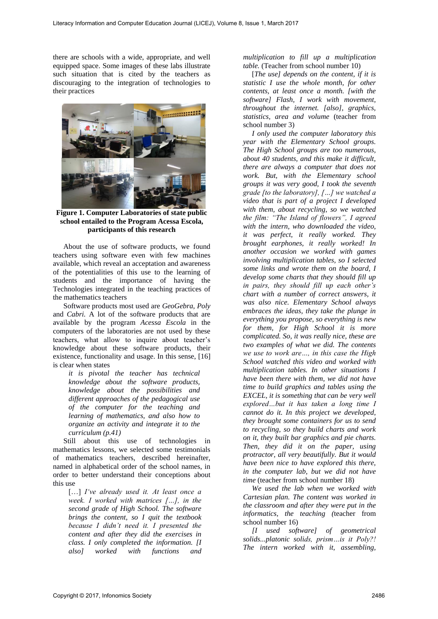there are schools with a wide, appropriate, and well equipped space. Some images of these labs illustrate such situation that is cited by the teachers as discouraging to the integration of technologies to their practices



**Figure 1. Computer Laboratories of state public school entailed to the Program Acessa Escola, participants of this research** 

About the use of software products, we found teachers using software even with few machines available, which reveal an acceptation and awareness of the potentialities of this use to the learning of students and the importance of having the Technologies integrated in the teaching practices of the mathematics teachers

Software products most used are *GeoGebra*, *Poly* and *Cabri.* A lot of the software products that are available by the program *Acessa Escola* in the computers of the laboratories are not used by these teachers, what allow to inquire about teacher's knowledge about these software products, their existence, functionality and usage. In this sense, [16] is clear when states

*it is pivotal the teacher has technical knowledge about the software products, knowledge about the possibilities and different approaches of the pedagogical use of the computer for the teaching and learning of mathematics, and also how to organize an activity and integrate it to the curriculum (p.41)*

Still about this use of technologies in mathematics lessons, we selected some testimonials of mathematics teachers, described hereinafter, named in alphabetical order of the school names, in order to better understand their conceptions about this use

[…] *I've already used it. At least once a week. I worked with matrices […], in the second grade of High School. The software brings the content, so I quit the textbook because I didn't need it. I presented the content and after they did the exercises in class. I only completed the information. [I also] worked with functions and* 

*multiplication to fill up a multiplication table.* (Teacher from school number 10)

[*The use] depends on the content, if it is statistic I use the whole month, for other contents, at least once a month. [with the software] Flash, I work with movement, throughout the internet. [also], graphics, statistics, area and volume* (teacher from school number 3)

*I only used the computer laboratory this year with the Elementary School groups. The High School groups are too numerous, about 40 students, and this make it difficult, there are always a computer that does not work. But, with the Elementary school groups it was very good, I took the seventh grade [to the laboratory], […] we watched a video that is part of a project I developed with them, about recycling, so we watched the film: "The Island of flowers", I agreed with the intern, who downloaded the video, it was perfect, it really worked. They brought earphones, it really worked! In another occasion we worked with games involving multiplication tables, so I selected some links and wrote them on the board, I develop some charts that they should fill up in pairs, they should fill up each other's chart with a number of correct answers, it was also nice. Elementary School always embraces the ideas, they take the plunge in everything you propose, so everything is new for them, for High School it is more complicated. So, it was really nice, these are two examples of what we did. The contents we use to work are…, in this case the High School watched this video and worked with multiplication tables. In other situations I have been there with them, we did not have time to build graphics and tables using the EXCEL, it is something that can be very well explored…but it has taken a long time I cannot do it. In this project we developed, they brought some containers for us to send to recycling, so they build charts and work on it, they built bar graphics and pie charts. Then, they did it on the paper, using protractor, all very beautifully. But it would have been nice to have explored this there, in the computer lab, but we did not have time* (teacher from school number 18)

*We used the lab when we worked with Cartesian plan. The content was worked in the classroom and after they were put in the informatics, the teaching (*teacher from school number 16)

*[I used software] of geometrical solids...platonic solids, prism…is it Poly?! The intern worked with it, assembling,*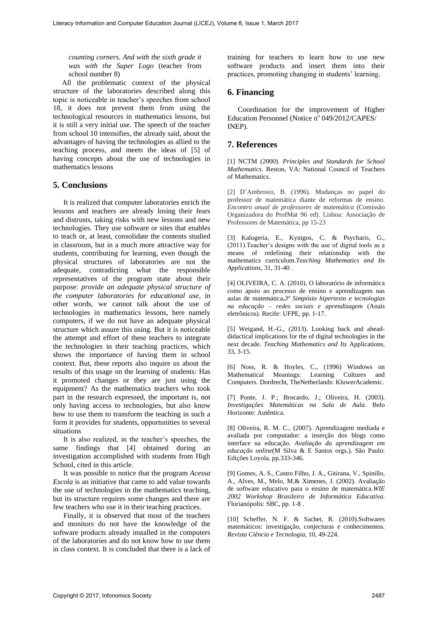*counting corners. And with the sixth grade it was with the Super Logo* (teacher from school number 8)

All the problematic context of the physical structure of the laboratories described along this topic is noticeable in teacher's speeches from school 18, it does not prevent them from using the technological resources in mathematics lessons, but it is still a very initial use. The speech of the teacher from school 10 intensifies, the already said, about the advantages of having the technologies as allied to the teaching process, and meets the ideas of [5] of having concepts about the use of technologies in mathematics lessons

## **5. Conclusions**

It is realized that computer laboratories enrich the lessons and teachers are already losing their fears and distrusts, taking risks with new lessons and new technologies. They use software or sites that enables to teach or, at least, consolidate the contents studied in classroom, but in a much more attractive way for students, contributing for learning, even though the physical structures of laboratories are not the adequate, contradicting what the responsible representatives of the program state about their purpose: *provide an adequate physical structure of the computer laboratories for educational use*, in other words, we cannot talk about the use of technologies in mathematics lessons, here namely computers, if we do not have an adequate physical structure which assure this using. But it is noticeable the attempt and effort of these teachers to integrate the technologies in their teaching practices, which shows the importance of having them in school context. But, these reports also inquire us about the results of this usage on the learning of students: Has it promoted changes or they are just using the equipment? As the mathematics teachers who took part in the research expressed, the important is, not only having access to technologies, but also know how to use them to transform the teaching in such a form it provides for students, opportunities to several situations

It is also realized, in the teacher's speeches, the same findings that [4] obtained during an investigation accomplished with students from High School, cited in this article.

It was possible to notice that the program *Acessa Escola* is an initiative that came to add value towards the use of technologies in the mathematics teaching, but its structure requires some changes and there are few teachers who use it in their teaching practices.

Finally, it is observed that most of the teachers and monitors do not have the knowledge of the software products already installed in the computers of the laboratories and do not know how to use them in class context. It is concluded that there is a lack of training for teachers to learn how to use new software products and insert them into their practices, promoting changing in students' learning.

## **6. Financing**

Coordination for the improvement of Higher Education Personnel (Notice nº 049/2012/CAPES/ INEP).

## **7. References**

[1] NCTM (2000). *Principles and Standards for School Mathematics*. Reston, VA: National Council of Teachers of Mathematics.

[2] D'Ambrosio, B. (1996). Mudanças no papel do professor de matemática diante de reformas de ensino. *Encontro anual de professores de matemática* (Comissão Organizadora do ProfMat 96 ed). Lisboa: Associação de Professores de Matemática, pp 15-23

[3] Kalogeria, E., Kynigos, C. & Psycharis, G., (2011).Teacher's designs with the use of digital tools as a means of redefining their relationship with the mathematics curriculum.*Teaching Mathematics and Its Applications*, 31, 31-40 .

[4] OLIVEIRA, C. A. (2010). O laboratório de informática como apoio ao processo de ensino e aprendizagem nas aulas de matemática**.***3º Simpósio hipertexto e tecnologias na educação – redes sociais e aprendizagem* (Anais eletrônicos). Recife: UFPE, pp. 1-17.

[5] Weigand, H.-G., (2013). Looking back and aheaddidactical implications for the of digital technologies in the next decade. *Teaching Mathematics and Its* Applications, 33, 3-15.

[6] Noss, R. & Hoyles, C., (1996) Windows on Mathematical Meanings: Learning Cultures and Computers. Dordrecht, TheNetherlands: KluwerAcademic.

[7] Ponte, J. P.; Brocardo, J.; Oliveira, H. (2003). *Investigações Matemáticas na Sala de Aula*. Belo Horizonte: Autêntica.

[8] Oliveira, R. M. C., (2007). Aprendizagem mediada e avaliada por computador: a inserção dos blogs como interface na educação. *Avaliação da aprendizagem em educação online*(M Silva & E Santos orgs.). São Paulo: Edições Loyola, pp.333-346.

[9] Gomes, A. S., Castro Filho, J. A., Gitirana, V., Spinillo, A., Alves, M., Melo, M.& Ximenes, J. (2002). Avaliação de software educativo para o ensino de matemática.*WIE 2002 Workshop Brasileiro de Informática Educativa*. Florianópolis: SBC, pp. 1-8 .

[10] Scheffer, N. F. & Sachet, R. (2010).Softwares matemáticos: investigação, conjecturas e conhecimentos. *Revista Ciência e Tecnologia*, 10, 49-224.